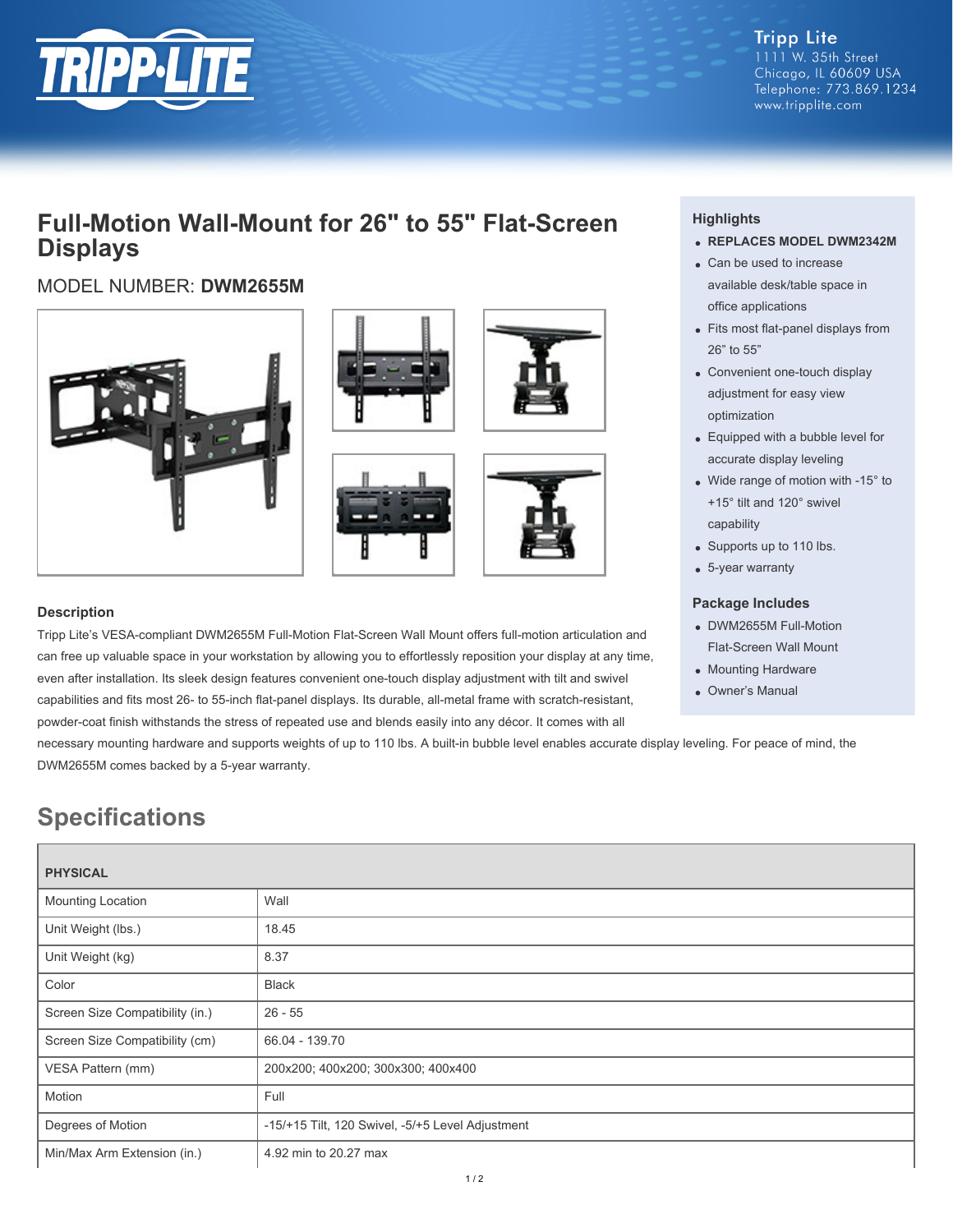

## **Full-Motion Wall-Mount for 26" to 55" Flat-Screen Displays**

### MODEL NUMBER: **DWM2655M**









## **Highlights**

- **REPLACES MODEL DWM2342M**
- Can be used to increase available desk/table space in office applications
- Fits most flat-panel displays from 26" to 55"
- Convenient one-touch display adjustment for easy view optimization
- Equipped with a bubble level for accurate display leveling
- Wide range of motion with -15° to +15° tilt and 120° swivel capability
- Supports up to 110 lbs.
- 5-year warranty

#### **Package Includes**

- DWM2655M Full-Motion Flat-Screen Wall Mount
- Mounting Hardware
- Owner's Manual

#### **Description**

Tripp Lite's VESA-compliant DWM2655M Full-Motion Flat-Screen Wall Mount offers full-motion articulation and can free up valuable space in your workstation by allowing you to effortlessly reposition your display at any time, even after installation. Its sleek design features convenient one-touch display adjustment with tilt and swivel capabilities and fits most 26- to 55-inch flat-panel displays. Its durable, all-metal frame with scratch-resistant, powder-coat finish withstands the stress of repeated use and blends easily into any décor. It comes with all

necessary mounting hardware and supports weights of up to 110 lbs. A built-in bubble level enables accurate display leveling. For peace of mind, the DWM2655M comes backed by a 5-year warranty.

# **Specifications**

| <b>PHYSICAL</b>                 |                                                  |
|---------------------------------|--------------------------------------------------|
| Mounting Location               | Wall                                             |
| Unit Weight (lbs.)              | 18.45                                            |
| Unit Weight (kg)                | 8.37                                             |
| Color                           | Black                                            |
| Screen Size Compatibility (in.) | $26 - 55$                                        |
| Screen Size Compatibility (cm)  | 66.04 - 139.70                                   |
| VESA Pattern (mm)               | 200x200; 400x200; 300x300; 400x400               |
| Motion                          | Full                                             |
| Degrees of Motion               | -15/+15 Tilt, 120 Swivel, -5/+5 Level Adjustment |
| Min/Max Arm Extension (in.)     | 4.92 min to 20.27 max                            |